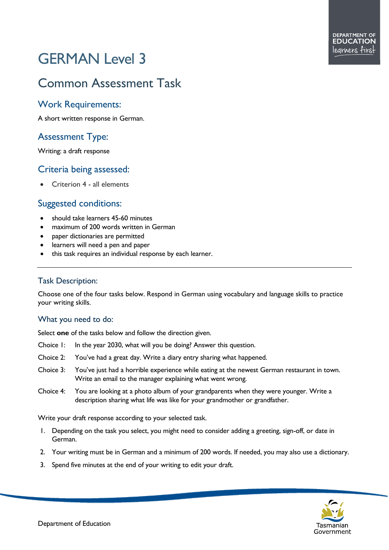# GERMAN Level 3

# Common Assessment Task

#### Work Requirements:

A short written response in German.

## Assessment Type:

Writing: a draft response

#### Criteria being assessed:

• Criterion 4 - all elements

#### Suggested conditions:

- should take learners 45-60 minutes
- maximum of 200 words written in German
- paper dictionaries are permitted
- learners will need a pen and paper
- this task requires an individual response by each learner.

#### Task Description:

Choose one of the four tasks below. Respond in German using vocabulary and language skills to practice your writing skills.

#### What you need to do:

Select **one** of the tasks below and follow the direction given.

- Choice 1: In the year 2030, what will you be doing? Answer this question.
- Choice 2: You've had a great day. Write a diary entry sharing what happened.
- Choice 3: You've just had a horrible experience while eating at the newest German restaurant in town. Write an email to the manager explaining what went wrong.
- Choice 4: You are looking at a photo album of your grandparents when they were younger. Write a description sharing what life was like for your grandmother or grandfather.

Write your draft response according to your selected task.

- 1. Depending on the task you select, you might need to consider adding a greeting, sign-off, or date in German.
- 2. Your writing must be in German and a minimum of 200 words. If needed, you may also use a dictionary.
- 3. Spend five minutes at the end of your writing to edit your draft.